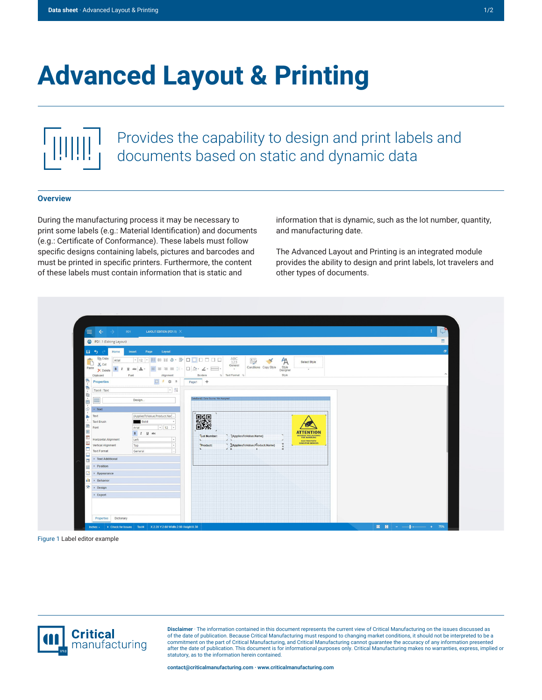# **Advanced Layout & Printing**

## Provides the capability to design and print labels and documents based on static and dynamic data

#### **Overview**

During the manufacturing process it may be necessary to print some labels (e.g.: Material Identification) and documents (e.g.: Certificate of Conformance). These labels must follow specific designs containing labels, pictures and barcodes and must be printed in specific printers. Furthermore, the content of these labels must contain information that is static and

information that is dynamic, such as the lot number, quantity, and manufacturing date.

The Advanced Layout and Printing is an integrated module provides the ability to design and print labels, lot travelers and other types of documents.



Figure 1 Label editor example



**Disclaimer** · The information contained in this document represents the current view of Critical Manufacturing on the issues discussed as of the date of publication. Because Critical Manufacturing must respond to changing market conditions, it should not be interpreted to be a commitment on the part of Critical Manufacturing, and Critical Manufacturing cannot guarantee the accuracy of any information presented after the date of publication. This document is for informational purposes only. Critical Manufacturing makes no warranties, express, implied or statutory, as to the information herein contained.